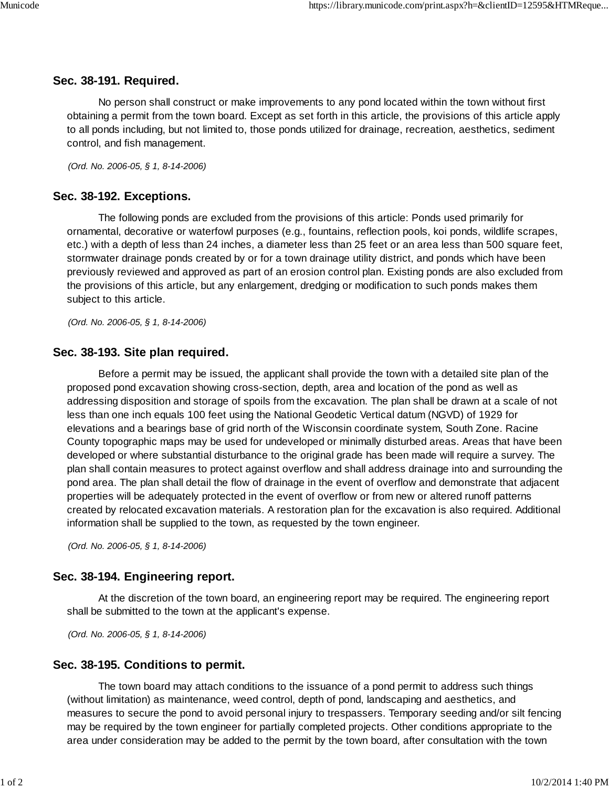# **Sec. 38-191. Required.**

No person shall construct or make improvements to any pond located within the town without first obtaining a permit from the town board. Except as set forth in this article, the provisions of this article apply to all ponds including, but not limited to, those ponds utilized for drainage, recreation, aesthetics, sediment control, and fish management.

(Ord. No. 2006-05, § 1, 8-14-2006)

## **Sec. 38-192. Exceptions.**

The following ponds are excluded from the provisions of this article: Ponds used primarily for ornamental, decorative or waterfowl purposes (e.g., fountains, reflection pools, koi ponds, wildlife scrapes, etc.) with a depth of less than 24 inches, a diameter less than 25 feet or an area less than 500 square feet, stormwater drainage ponds created by or for a town drainage utility district, and ponds which have been previously reviewed and approved as part of an erosion control plan. Existing ponds are also excluded from the provisions of this article, but any enlargement, dredging or modification to such ponds makes them subject to this article.

(Ord. No. 2006-05, § 1, 8-14-2006)

#### **Sec. 38-193. Site plan required.**

Before a permit may be issued, the applicant shall provide the town with a detailed site plan of the proposed pond excavation showing cross-section, depth, area and location of the pond as well as addressing disposition and storage of spoils from the excavation. The plan shall be drawn at a scale of not less than one inch equals 100 feet using the National Geodetic Vertical datum (NGVD) of 1929 for elevations and a bearings base of grid north of the Wisconsin coordinate system, South Zone. Racine County topographic maps may be used for undeveloped or minimally disturbed areas. Areas that have been developed or where substantial disturbance to the original grade has been made will require a survey. The plan shall contain measures to protect against overflow and shall address drainage into and surrounding the pond area. The plan shall detail the flow of drainage in the event of overflow and demonstrate that adjacent properties will be adequately protected in the event of overflow or from new or altered runoff patterns created by relocated excavation materials. A restoration plan for the excavation is also required. Additional information shall be supplied to the town, as requested by the town engineer.

(Ord. No. 2006-05, § 1, 8-14-2006)

### **Sec. 38-194. Engineering report.**

At the discretion of the town board, an engineering report may be required. The engineering report shall be submitted to the town at the applicant's expense.

(Ord. No. 2006-05, § 1, 8-14-2006)

### **Sec. 38-195. Conditions to permit.**

The town board may attach conditions to the issuance of a pond permit to address such things (without limitation) as maintenance, weed control, depth of pond, landscaping and aesthetics, and measures to secure the pond to avoid personal injury to trespassers. Temporary seeding and/or silt fencing may be required by the town engineer for partially completed projects. Other conditions appropriate to the area under consideration may be added to the permit by the town board, after consultation with the town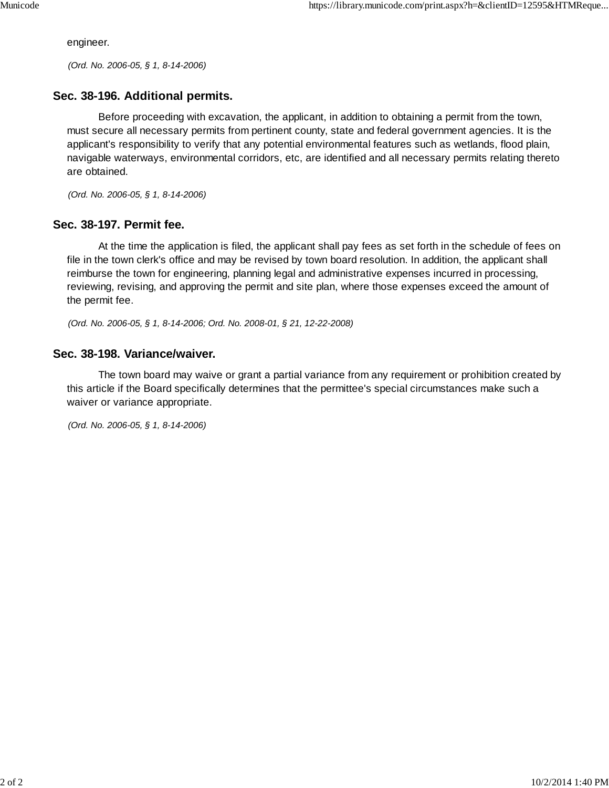engineer.

(Ord. No. 2006-05, § 1, 8-14-2006)

## **Sec. 38-196. Additional permits.**

Before proceeding with excavation, the applicant, in addition to obtaining a permit from the town, must secure all necessary permits from pertinent county, state and federal government agencies. It is the applicant's responsibility to verify that any potential environmental features such as wetlands, flood plain, navigable waterways, environmental corridors, etc, are identified and all necessary permits relating thereto are obtained.

(Ord. No. 2006-05, § 1, 8-14-2006)

### **Sec. 38-197. Permit fee.**

At the time the application is filed, the applicant shall pay fees as set forth in the schedule of fees on file in the town clerk's office and may be revised by town board resolution. In addition, the applicant shall reimburse the town for engineering, planning legal and administrative expenses incurred in processing, reviewing, revising, and approving the permit and site plan, where those expenses exceed the amount of the permit fee.

(Ord. No. 2006-05, § 1, 8-14-2006; Ord. No. 2008-01, § 21, 12-22-2008)

#### **Sec. 38-198. Variance/waiver.**

The town board may waive or grant a partial variance from any requirement or prohibition created by this article if the Board specifically determines that the permittee's special circumstances make such a waiver or variance appropriate.

(Ord. No. 2006-05, § 1, 8-14-2006)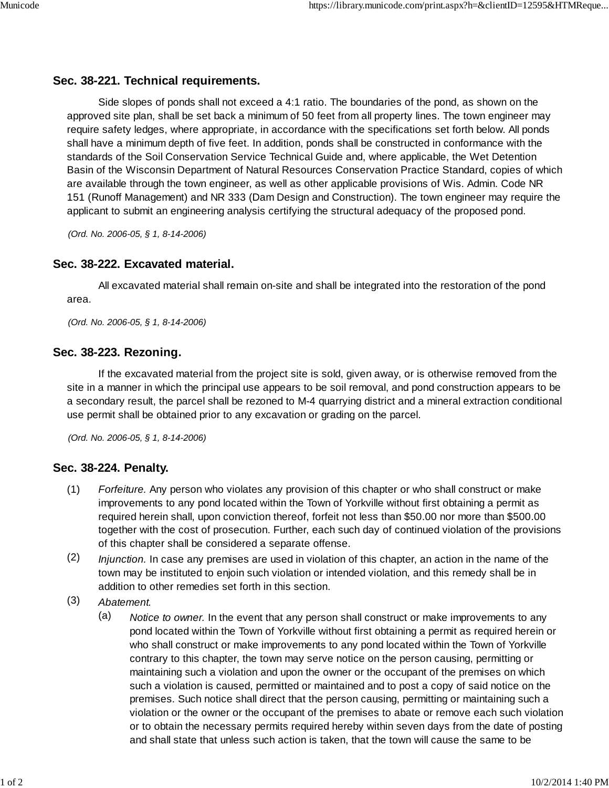# **Sec. 38-221. Technical requirements.**

Side slopes of ponds shall not exceed a 4:1 ratio. The boundaries of the pond, as shown on the approved site plan, shall be set back a minimum of 50 feet from all property lines. The town engineer may require safety ledges, where appropriate, in accordance with the specifications set forth below. All ponds shall have a minimum depth of five feet. In addition, ponds shall be constructed in conformance with the standards of the Soil Conservation Service Technical Guide and, where applicable, the Wet Detention Basin of the Wisconsin Department of Natural Resources Conservation Practice Standard, copies of which are available through the town engineer, as well as other applicable provisions of Wis. Admin. Code NR 151 (Runoff Management) and NR 333 (Dam Design and Construction). The town engineer may require the applicant to submit an engineering analysis certifying the structural adequacy of the proposed pond.

(Ord. No. 2006-05, § 1, 8-14-2006)

## **Sec. 38-222. Excavated material.**

All excavated material shall remain on-site and shall be integrated into the restoration of the pond area.

(Ord. No. 2006-05, § 1, 8-14-2006)

## **Sec. 38-223. Rezoning.**

If the excavated material from the project site is sold, given away, or is otherwise removed from the site in a manner in which the principal use appears to be soil removal, and pond construction appears to be a secondary result, the parcel shall be rezoned to M-4 quarrying district and a mineral extraction conditional use permit shall be obtained prior to any excavation or grading on the parcel.

(Ord. No. 2006-05, § 1, 8-14-2006)

# **Sec. 38-224. Penalty.**

- (1) Forfeiture. Any person who violates any provision of this chapter or who shall construct or make improvements to any pond located within the Town of Yorkville without first obtaining a permit as required herein shall, upon conviction thereof, forfeit not less than \$50.00 nor more than \$500.00 together with the cost of prosecution. Further, each such day of continued violation of the provisions of this chapter shall be considered a separate offense.
- (2) Injunction. In case any premises are used in violation of this chapter, an action in the name of the town may be instituted to enjoin such violation or intended violation, and this remedy shall be in addition to other remedies set forth in this section.
- (3) Abatement.
	- (a) Notice to owner. In the event that any person shall construct or make improvements to any pond located within the Town of Yorkville without first obtaining a permit as required herein or who shall construct or make improvements to any pond located within the Town of Yorkville contrary to this chapter, the town may serve notice on the person causing, permitting or maintaining such a violation and upon the owner or the occupant of the premises on which such a violation is caused, permitted or maintained and to post a copy of said notice on the premises. Such notice shall direct that the person causing, permitting or maintaining such a violation or the owner or the occupant of the premises to abate or remove each such violation or to obtain the necessary permits required hereby within seven days from the date of posting and shall state that unless such action is taken, that the town will cause the same to be